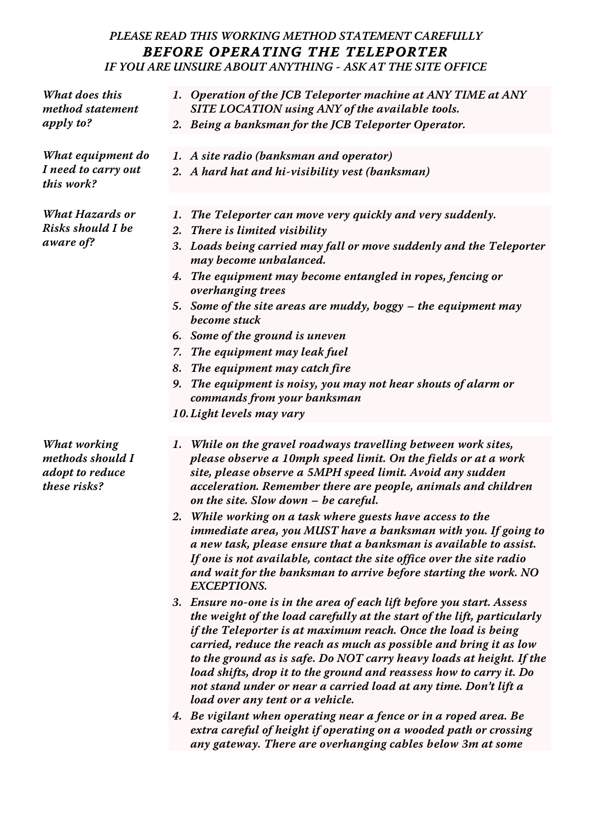## **PLEASE READ THIS WORKING METHOD STATEMENT CAREFULLY BEFORE OPERATING THE TELEPORTER IF YOU ARE UNSURE ABOUT ANYTHING - ASK AT THE SITE OFFICE**

**What does this method statement apply to?**

**What equipment do I need to carry out this work?**

**What Hazards or Risks should I be aware of?**

- **1. Operation of the JCB Teleporter machine at ANY TIME at ANY SITE LOCATION using ANY of the available tools.**
- **2. Being a banksman for the JCB Teleporter Operator.**
- **1. A site radio (banksman and operator)**
- **2. A hard hat and hi-visibility vest (banksman)**
- **1. The Teleporter can move very quickly and very suddenly.**
- **2. There is limited visibility**
- **3. Loads being carried may fall or move suddenly and the Teleporter may become unbalanced.**
- **4. The equipment may become entangled in ropes, fencing or overhanging trees**
- **5. Some of the site areas are muddy, boggy the equipment may become stuck**
- **6. Some of the ground is uneven**
- **7. The equipment may leak fuel**
- **8. The equipment may catch fire**
- **9. The equipment is noisy, you may not hear shouts of alarm or commands from your banksman**
- **10.Light levels may vary**

**What working methods should I adopt to reduce these risks?**

- **1. While on the gravel roadways travelling between work sites, please observe a 10mph speed limit. On the fields or at a work site, please observe a 5MPH speed limit. Avoid any sudden acceleration. Remember there are people, animals and children on the site. Slow down – be careful.**
- **2. While working on a task where guests have access to the immediate area, you MUST have a banksman with you. If going to a new task, please ensure that a banksman is available to assist. If one is not available, contact the site office over the site radio and wait for the banksman to arrive before starting the work. NO EXCEPTIONS.**
- **3. Ensure no-one is in the area of each lift before you start. Assess the weight of the load carefully at the start of the lift, particularly if the Teleporter is at maximum reach. Once the load is being carried, reduce the reach as much as possible and bring it as low to the ground as is safe. Do NOT carry heavy loads at height. If the load shifts, drop it to the ground and reassess how to carry it. Do not stand under or near a carried load at any time. Don't lift a load over any tent or a vehicle.**
- **4. Be vigilant when operating near a fence or in a roped area. Be extra careful of height if operating on a wooded path or crossing any gateway. There are overhanging cables below 3m at some**